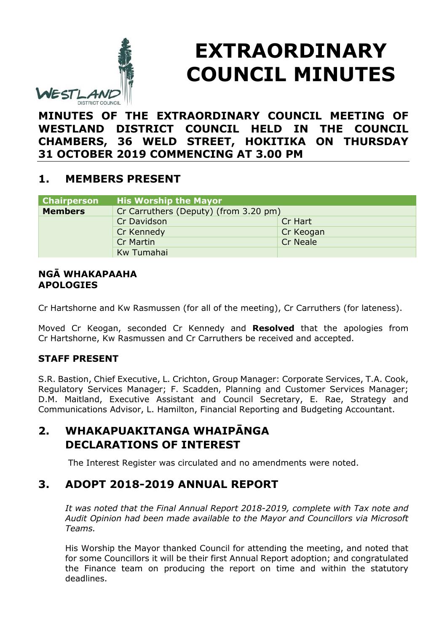

# **EXTRAORDINARY COUNCIL MINUTES**

**MINUTES OF THE EXTRAORDINARY COUNCIL MEETING OF WESTLAND DISTRICT COUNCIL HELD IN THE COUNCIL CHAMBERS, 36 WELD STREET, HOKITIKA ON THURSDAY 31 OCTOBER 2019 COMMENCING AT 3.00 PM**

## **1. MEMBERS PRESENT**

| <b>Chairperson</b> | <b>His Worship the Mayor</b>          |                 |
|--------------------|---------------------------------------|-----------------|
| <b>Members</b>     | Cr Carruthers (Deputy) (from 3.20 pm) |                 |
|                    | Cr Davidson                           | Cr Hart         |
|                    | Cr Kennedy                            | Cr Keogan       |
|                    | <b>Cr Martin</b>                      | <b>Cr Neale</b> |
|                    | Kw Tumahai                            |                 |

#### **NGĀ WHAKAPAAHA APOLOGIES**

Cr Hartshorne and Kw Rasmussen (for all of the meeting), Cr Carruthers (for lateness).

Moved Cr Keogan, seconded Cr Kennedy and **Resolved** that the apologies from Cr Hartshorne, Kw Rasmussen and Cr Carruthers be received and accepted.

### **STAFF PRESENT**

S.R. Bastion, Chief Executive, L. Crichton, Group Manager: Corporate Services, T.A. Cook, Regulatory Services Manager; F. Scadden, Planning and Customer Services Manager; D.M. Maitland, Executive Assistant and Council Secretary, E. Rae, Strategy and Communications Advisor, L. Hamilton, Financial Reporting and Budgeting Accountant.

## **2. WHAKAPUAKITANGA WHAIPĀNGA DECLARATIONS OF INTEREST**

The Interest Register was circulated and no amendments were noted.

## **3. ADOPT 2018-2019 ANNUAL REPORT**

*It was noted that the Final Annual Report 2018-2019, complete with Tax note and Audit Opinion had been made available to the Mayor and Councillors via Microsoft Teams.*

His Worship the Mayor thanked Council for attending the meeting, and noted that for some Councillors it will be their first Annual Report adoption; and congratulated the Finance team on producing the report on time and within the statutory deadlines.